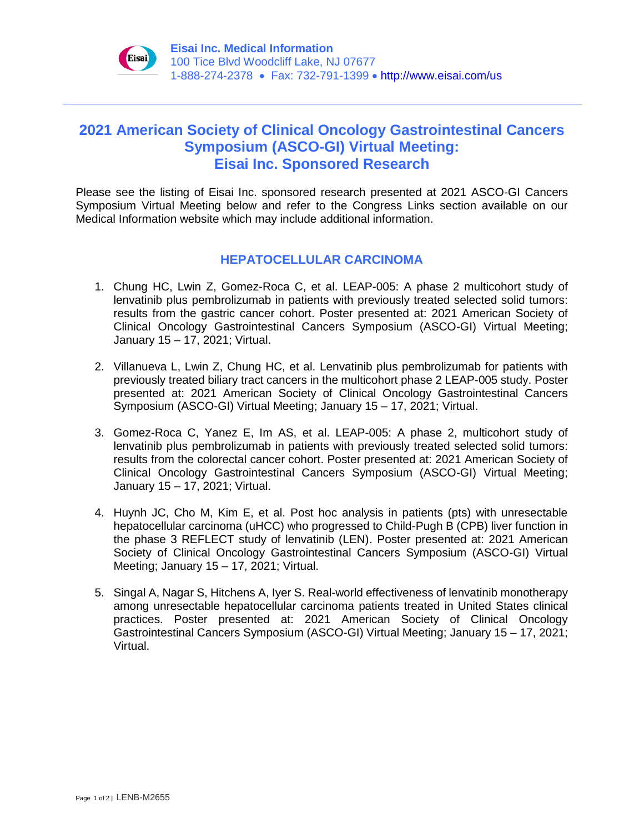

## **2021 American Society of Clinical Oncology Gastrointestinal Cancers Symposium (ASCO-GI) Virtual Meeting: Eisai Inc. Sponsored Research**

Please see the listing of Eisai Inc. sponsored research presented at 2021 ASCO-GI Cancers Symposium Virtual Meeting below and refer to the Congress Links section available on our Medical Information website which may include additional information.

## **HEPATOCELLULAR CARCINOMA**

- 1. Chung HC, Lwin Z, Gomez-Roca C, et al. LEAP-005: A phase 2 multicohort study of lenvatinib plus pembrolizumab in patients with previously treated selected solid tumors: results from the gastric cancer cohort. Poster presented at: 2021 American Society of Clinical Oncology Gastrointestinal Cancers Symposium (ASCO-GI) Virtual Meeting; January 15 – 17, 2021; Virtual.
- 2. Villanueva L, Lwin Z, Chung HC, et al. Lenvatinib plus pembrolizumab for patients with previously treated biliary tract cancers in the multicohort phase 2 LEAP-005 study. Poster presented at: 2021 American Society of Clinical Oncology Gastrointestinal Cancers Symposium (ASCO-GI) Virtual Meeting; January 15 – 17, 2021; Virtual.
- 3. Gomez-Roca C, Yanez E, Im AS, et al. LEAP-005: A phase 2, multicohort study of lenvatinib plus pembrolizumab in patients with previously treated selected solid tumors: results from the colorectal cancer cohort. Poster presented at: 2021 American Society of Clinical Oncology Gastrointestinal Cancers Symposium (ASCO-GI) Virtual Meeting; January 15 – 17, 2021; Virtual.
- 4. Huynh JC, Cho M, Kim E, et al. Post hoc analysis in patients (pts) with unresectable hepatocellular carcinoma (uHCC) who progressed to Child-Pugh B (CPB) liver function in the phase 3 REFLECT study of lenvatinib (LEN). Poster presented at: 2021 American Society of Clinical Oncology Gastrointestinal Cancers Symposium (ASCO-GI) Virtual Meeting; January 15 – 17, 2021; Virtual.
- 5. Singal A, Nagar S, Hitchens A, Iyer S. Real-world effectiveness of lenvatinib monotherapy among unresectable hepatocellular carcinoma patients treated in United States clinical practices. Poster presented at: 2021 American Society of Clinical Oncology Gastrointestinal Cancers Symposium (ASCO-GI) Virtual Meeting; January 15 – 17, 2021; Virtual.